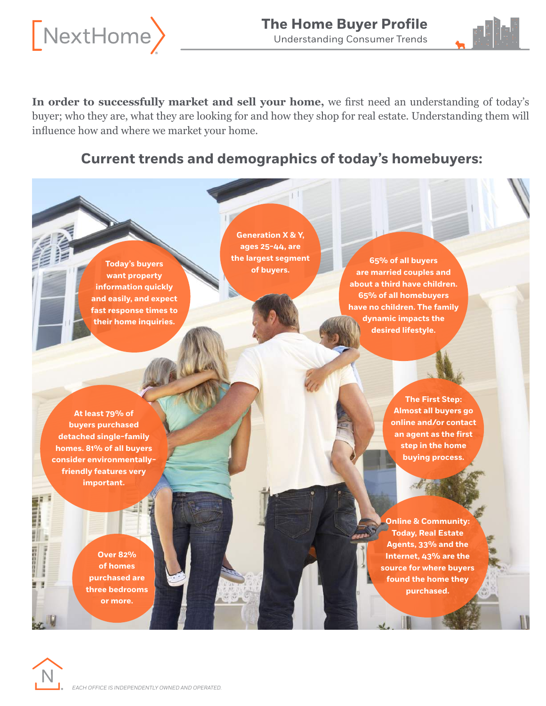



**In order to successfully market and sell your home,** we frst need an understanding of today's buyer; who they are, what they are looking for and how they shop for real estate. Understanding them will infuence how and where we market your home.

## **Current trends and demographics of today's homebuyers:**

**Today's buyers of buyers of buyers**. **want property information quickly and easily, and expect fast response times to their home inquiries.**

**Generation X & Y, ages 25-44, are the largest segment** 

**65% of all buyers are married couples and about a third have children. 65% of all homebuyers have no children. The family dynamic impacts the desired lifestyle.** 

**At least 79% of buyers purchased detached single-family homes. 81% of all buyers consider environmentallyfriendly features very important.** 

> **Over 82% of homes purchased are three bedrooms or more.**

**The First Step: Almost all buyers go online and/or contact an agent as the first step in the home buying process.** 

**Online & Community: Today, Real Estate Agents, 33% and the Internet, 43% are the source for where buyers found the home they purchased.** 



**International** 

Ξ **I**